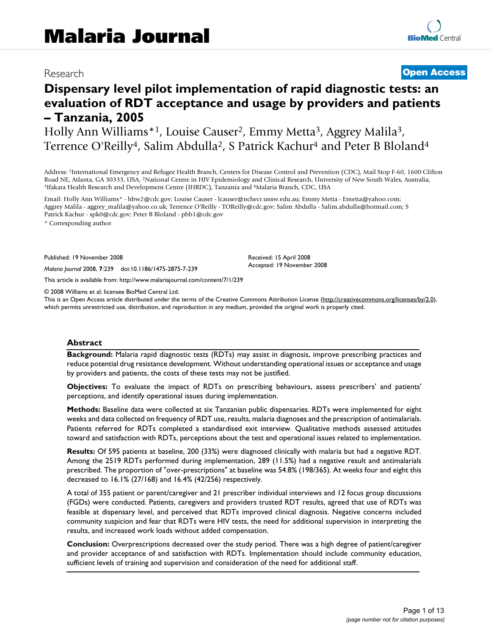## Research **[Open Access](http://www.biomedcentral.com/info/about/charter/)**

# **Dispensary level pilot implementation of rapid diagnostic tests: an evaluation of RDT acceptance and usage by providers and patients – Tanzania, 2005**

Holly Ann Williams\*1, Louise Causer2, Emmy Metta3, Aggrey Malila3, Terrence O'Reilly<sup>4</sup>, Salim Abdulla<sup>2</sup>, S Patrick Kachur<sup>4</sup> and Peter B Bloland<sup>4</sup>

Address: 1International Emergency and Refugee Health Branch, Centers for Disease Control and Prevention (CDC), Mail Stop F-60, 1600 Clifton Road NE, Atlanta, GA 30333, USA, <sup>2</sup>National Centre in HIV Epidemiology and Clinical Research, University of New South Wales, Australia, <sup>3</sup>Ifakara Health Research and Development Centre (IHRDC), Tanzania and <sup>4</sup>Malaria Br

Email: Holly Ann Williams\* - hbw2@cdc.gov; Louise Causer - lcauser@nchecr.unsw.edu.au; Emmy Metta - Emetta@yahoo.com; Aggrey Malila - aggrey\_malila@yahoo.co.uk; Terrence O'Reilly - TOReilly@cdc.gov; Salim Abdulla - Salim.abdulla@hotmail.com; S Patrick Kachur - spk0@cdc.gov; Peter B Bloland - pbb1@cdc.gov

\* Corresponding author

Published: 19 November 2008

*Malaria Journal* 2008, **7**:239 doi:10.1186/1475-2875-7-239

[This article is available from: http://www.malariajournal.com/content/7/1/239](http://www.malariajournal.com/content/7/1/239)

© 2008 Williams et al; licensee BioMed Central Ltd.

This is an Open Access article distributed under the terms of the Creative Commons Attribution License [\(http://creativecommons.org/licenses/by/2.0\)](http://creativecommons.org/licenses/by/2.0), which permits unrestricted use, distribution, and reproduction in any medium, provided the original work is properly cited.

Received: 15 April 2008 Accepted: 19 November 2008

#### **Abstract**

**Background:** Malaria rapid diagnostic tests (RDTs) may assist in diagnosis, improve prescribing practices and reduce potential drug resistance development. Without understanding operational issues or acceptance and usage by providers and patients, the costs of these tests may not be justified.

**Objectives:** To evaluate the impact of RDTs on prescribing behaviours, assess prescribers' and patients' perceptions, and identify operational issues during implementation.

**Methods:** Baseline data were collected at six Tanzanian public dispensaries. RDTs were implemented for eight weeks and data collected on frequency of RDT use, results, malaria diagnoses and the prescription of antimalarials. Patients referred for RDTs completed a standardised exit interview. Qualitative methods assessed attitudes toward and satisfaction with RDTs, perceptions about the test and operational issues related to implementation.

**Results:** Of 595 patients at baseline, 200 (33%) were diagnosed clinically with malaria but had a negative RDT. Among the 2519 RDTs performed during implementation, 289 (11.5%) had a negative result and antimalarials prescribed. The proportion of "over-prescriptions" at baseline was 54.8% (198/365). At weeks four and eight this decreased to 16.1% (27/168) and 16.4% (42/256) respectively.

A total of 355 patient or parent/caregiver and 21 prescriber individual interviews and 12 focus group discussions (FGDs) were conducted. Patients, caregivers and providers trusted RDT results, agreed that use of RDTs was feasible at dispensary level, and perceived that RDTs improved clinical diagnosis. Negative concerns included community suspicion and fear that RDTs were HIV tests, the need for additional supervision in interpreting the results, and increased work loads without added compensation.

**Conclusion:** Overprescriptions decreased over the study period. There was a high degree of patient/caregiver and provider acceptance of and satisfaction with RDTs. Implementation should include community education, sufficient levels of training and supervision and consideration of the need for additional staff.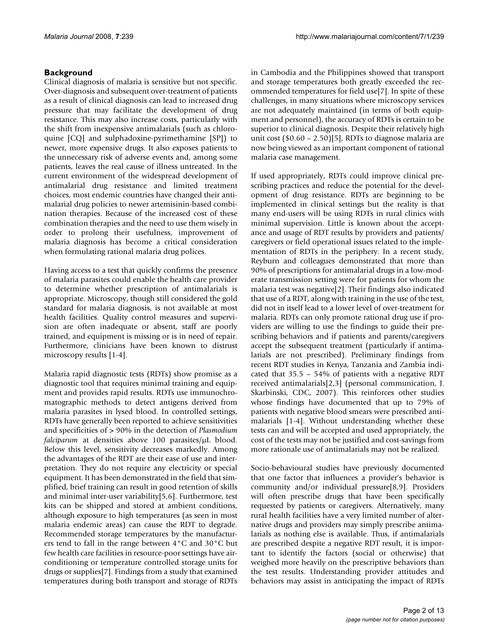### **Background**

Clinical diagnosis of malaria is sensitive but not specific. Over-diagnosis and subsequent over-treatment of patients as a result of clinical diagnosis can lead to increased drug pressure that may facilitate the development of drug resistance. This may also increase costs, particularly with the shift from inexpensive antimalarials (such as chloroquine [CQ] and sulphadoxine-pyrimethamine [SP]) to newer, more expensive drugs. It also exposes patients to the unnecessary risk of adverse events and, among some patients, leaves the real cause of illness untreated. In the current environment of the widespread development of antimalarial drug resistance and limited treatment choices, most endemic countries have changed their antimalarial drug policies to newer artemisinin-based combination therapies. Because of the increased cost of these combination therapies and the need to use them wisely in order to prolong their usefulness, improvement of malaria diagnosis has become a critical consideration when formulating rational malaria drug polices.

Having access to a test that quickly confirms the presence of malaria parasites could enable the health care provider to determine whether prescription of antimalarials is appropriate. Microscopy, though still considered the gold standard for malaria diagnosis, is not available at most health facilities. Quality control measures and supervision are often inadequate or absent, staff are poorly trained, and equipment is missing or is in need of repair. Furthermore, clinicians have been known to distrust microscopy results [1-4].

Malaria rapid diagnostic tests (RDTs) show promise as a diagnostic tool that requires minimal training and equipment and provides rapid results. RDTs use immunochromatographic methods to detect antigens derived from malaria parasites in lysed blood. In controlled settings, RDTs have generally been reported to achieve sensitivities and specificities of > 90% in the detection of *Plasmodium falciparum* at densities above 100 parasites/μL blood. Below this level, sensitivity decreases markedly. Among the advantages of the RDT are their ease of use and interpretation. They do not require any electricity or special equipment. It has been demonstrated in the field that simplified, brief training can result in good retention of skills and minimal inter-user variability[5,6]. Furthermore, test kits can be shipped and stored at ambient conditions, although exposure to high temperatures (as seen in most malaria endemic areas) can cause the RDT to degrade. Recommended storage temperatures by the manufacturers tend to fall in the range between 4°C and 30°C but few health care facilities in resource-poor settings have airconditioning or temperature controlled storage units for drugs or supplies[7]. Findings from a study that examined temperatures during both transport and storage of RDTs

in Cambodia and the Philippines showed that transport and storage temperatures both greatly exceeded the recommended temperatures for field use[7]. In spite of these challenges, in many situations where microscopy services are not adequately maintained (in terms of both equipment and personnel), the accuracy of RDTs is certain to be superior to clinical diagnosis. Despite their relatively high unit cost (\$0.60 – 2.50)[5], RDTs to diagnose malaria are now being viewed as an important component of rational malaria case management.

If used appropriately, RDTs could improve clinical prescribing practices and reduce the potential for the development of drug resistance. RDTs are beginning to be implemented in clinical settings but the reality is that many end-users will be using RDTs in rural clinics with minimal supervision. Little is known about the acceptance and usage of RDT results by providers and patients/ caregivers or field operational issues related to the implementation of RDTs in the periphery. In a recent study, Reyburn and colleagues demonstrated that more than 90% of prescriptions for antimalarial drugs in a low-moderate transmission setting were for patients for whom the malaria test was negative[2]. Their findings also indicated that use of a RDT, along with training in the use of the test, did not in itself lead to a lower level of over-treatment for malaria. RDTs can only promote rational drug use if providers are willing to use the findings to guide their prescribing behaviors and if patients and parents/caregivers accept the subsequent treatment (particularly if antimalarials are not prescribed). Preliminary findings from recent RDT studies in Kenya, Tanzania and Zambia indicated that 35.5 – 54% of patients with a negative RDT received antimalarials[2,3] (personal communication, J. Skarbinski, CDC, 2007). This reinforces other studies whose findings have documented that up to 79% of patients with negative blood smears were prescribed antimalarials [1-4]. Without understanding whether these tests can and will be accepted and used appropriately, the cost of the tests may not be justified and cost-savings from more rationale use of antimalarials may not be realized.

Socio-behavioural studies have previously documented that one factor that influences a provider's behavior is community and/or individual pressure[8,9]. Providers will often prescribe drugs that have been specifically requested by patients or caregivers. Alternatively, many rural health facilities have a very limited number of alternative drugs and providers may simply prescribe antimalarials as nothing else is available. Thus, if antimalarials are prescribed despite a negative RDT result, it is important to identify the factors (social or otherwise) that weighed more heavily on the prescriptive behaviors than the test results. Understanding provider attitudes and behaviors may assist in anticipating the impact of RDTs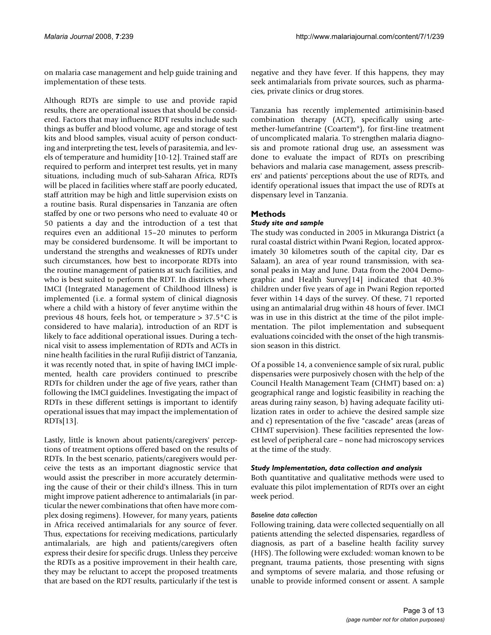on malaria case management and help guide training and implementation of these tests.

Although RDTs are simple to use and provide rapid results, there are operational issues that should be considered. Factors that may influence RDT results include such things as buffer and blood volume, age and storage of test kits and blood samples, visual acuity of person conducting and interpreting the test, levels of parasitemia, and levels of temperature and humidity [10-12]. Trained staff are required to perform and interpret test results, yet in many situations, including much of sub-Saharan Africa, RDTs will be placed in facilities where staff are poorly educated, staff attrition may be high and little supervision exists on a routine basis. Rural dispensaries in Tanzania are often staffed by one or two persons who need to evaluate 40 or 50 patients a day and the introduction of a test that requires even an additional 15–20 minutes to perform may be considered burdensome. It will be important to understand the strengths and weaknesses of RDTs under such circumstances, how best to incorporate RDTs into the routine management of patients at such facilities, and who is best suited to perform the RDT. In districts where IMCI (Integrated Management of Childhood Illness) is implemented (i.e. a formal system of clinical diagnosis where a child with a history of fever anytime within the previous 48 hours, feels hot, or temperature > 37.5°C is considered to have malaria), introduction of an RDT is likely to face additional operational issues. During a technical visit to assess implementation of RDTs and ACTs in nine health facilities in the rural Rufiji district of Tanzania, it was recently noted that, in spite of having IMCI implemented, health care providers continued to prescribe RDTs for children under the age of five years, rather than following the IMCI guidelines. Investigating the impact of RDTs in these different settings is important to identify operational issues that may impact the implementation of RDTs[13].

Lastly, little is known about patients/caregivers' perceptions of treatment options offered based on the results of RDTs. In the best scenario, patients/caregivers would perceive the tests as an important diagnostic service that would assist the prescriber in more accurately determining the cause of their or their child's illness. This in turn might improve patient adherence to antimalarials (in particular the newer combinations that often have more complex dosing regimens). However, for many years, patients in Africa received antimalarials for any source of fever. Thus, expectations for receiving medications, particularly antimalarials, are high and patients/caregivers often express their desire for specific drugs. Unless they perceive the RDTs as a positive improvement in their health care, they may be reluctant to accept the proposed treatments that are based on the RDT results, particularly if the test is negative and they have fever. If this happens, they may seek antimalarials from private sources, such as pharmacies, private clinics or drug stores.

Tanzania has recently implemented artimisinin-based combination therapy (ACT), specifically using artemether-lumefantrine (Coartem®), for first-line treatment of uncomplicated malaria. To strengthen malaria diagnosis and promote rational drug use, an assessment was done to evaluate the impact of RDTs on prescribing behaviors and malaria case management, assess prescribers' and patients' perceptions about the use of RDTs, and identify operational issues that impact the use of RDTs at dispensary level in Tanzania.

### **Methods**

#### *Study site and sample*

The study was conducted in 2005 in Mkuranga District (a rural coastal district within Pwani Region, located approximately 30 kilometres south of the capital city, Dar es Salaam), an area of year round transmission, with seasonal peaks in May and June. Data from the 2004 Demographic and Health Survey[14] indicated that 40.3% children under five years of age in Pwani Region reported fever within 14 days of the survey. Of these, 71 reported using an antimalarial drug within 48 hours of fever. IMCI was in use in this district at the time of the pilot implementation. The pilot implementation and subsequent evaluations coincided with the onset of the high transmission season in this district.

Of a possible 14, a convenience sample of six rural, public dispensaries were purposively chosen with the help of the Council Health Management Team (CHMT) based on: a) geographical range and logistic feasibility in reaching the areas during rainy season, b) having adequate facility utilization rates in order to achieve the desired sample size and c) representation of the five "cascade" areas (areas of CHMT supervision). These facilities represented the lowest level of peripheral care – none had microscopy services at the time of the study.

#### *Study Implementation, data collection and analysis*

Both quantitative and qualitative methods were used to evaluate this pilot implementation of RDTs over an eight week period.

#### *Baseline data collection*

Following training, data were collected sequentially on all patients attending the selected dispensaries, regardless of diagnosis, as part of a baseline health facility survey (HFS). The following were excluded: woman known to be pregnant, trauma patients, those presenting with signs and symptoms of severe malaria, and those refusing or unable to provide informed consent or assent. A sample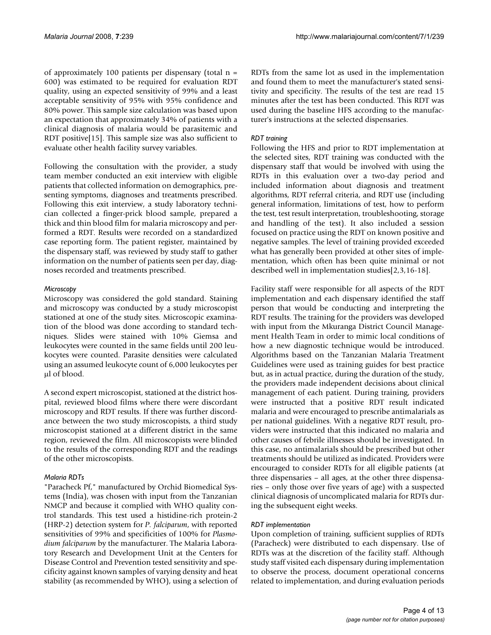of approximately 100 patients per dispensary (total  $n =$ 600) was estimated to be required for evaluation RDT quality, using an expected sensitivity of 99% and a least acceptable sensitivity of 95% with 95% confidence and 80% power. This sample size calculation was based upon an expectation that approximately 34% of patients with a clinical diagnosis of malaria would be parasitemic and RDT positive[15]. This sample size was also sufficient to evaluate other health facility survey variables.

Following the consultation with the provider, a study team member conducted an exit interview with eligible patients that collected information on demographics, presenting symptoms, diagnoses and treatments prescribed. Following this exit interview, a study laboratory technician collected a finger-prick blood sample, prepared a thick and thin blood film for malaria microscopy and performed a RDT. Results were recorded on a standardized case reporting form. The patient register, maintained by the dispensary staff, was reviewed by study staff to gather information on the number of patients seen per day, diagnoses recorded and treatments prescribed.

#### *Microscopy*

Microscopy was considered the gold standard. Staining and microscopy was conducted by a study microscopist stationed at one of the study sites. Microscopic examination of the blood was done according to standard techniques. Slides were stained with 10% Giemsa and leukocytes were counted in the same fields until 200 leukocytes were counted. Parasite densities were calculated using an assumed leukocyte count of 6,000 leukocytes per μl of blood.

A second expert microscopist, stationed at the district hospital, reviewed blood films where there were discordant microscopy and RDT results. If there was further discordance between the two study microscopists, a third study microscopist stationed at a different district in the same region, reviewed the film. All microscopists were blinded to the results of the corresponding RDT and the readings of the other microscopists.

#### *Malaria RDTs*

"Paracheck Pf," manufactured by Orchid Biomedical Systems (India), was chosen with input from the Tanzanian NMCP and because it complied with WHO quality control standards. This test used a histidine-rich protein-2 (HRP-2) detection system for *P. falciparum*, with reported sensitivities of 99% and specificities of 100% for *Plasmodium falciparum* by the manufacturer. The Malaria Laboratory Research and Development Unit at the Centers for Disease Control and Prevention tested sensitivity and specificity against known samples of varying density and heat stability (as recommended by WHO), using a selection of RDTs from the same lot as used in the implementation and found them to meet the manufacturer's stated sensitivity and specificity. The results of the test are read 15 minutes after the test has been conducted. This RDT was used during the baseline HFS according to the manufacturer's instructions at the selected dispensaries.

#### *RDT training*

Following the HFS and prior to RDT implementation at the selected sites, RDT training was conducted with the dispensary staff that would be involved with using the RDTs in this evaluation over a two-day period and included information about diagnosis and treatment algorithms, RDT referral criteria, and RDT use (including general information, limitations of test, how to perform the test, test result interpretation, troubleshooting, storage and handling of the test). It also included a session focused on practice using the RDT on known positive and negative samples. The level of training provided exceeded what has generally been provided at other sites of implementation, which often has been quite minimal or not described well in implementation studies[2,3,16-18].

Facility staff were responsible for all aspects of the RDT implementation and each dispensary identified the staff person that would be conducting and interpreting the RDT results. The training for the providers was developed with input from the Mkuranga District Council Management Health Team in order to mimic local conditions of how a new diagnostic technique would be introduced. Algorithms based on the Tanzanian Malaria Treatment Guidelines were used as training guides for best practice but, as in actual practice, during the duration of the study, the providers made independent decisions about clinical management of each patient. During training, providers were instructed that a positive RDT result indicated malaria and were encouraged to prescribe antimalarials as per national guidelines. With a negative RDT result, providers were instructed that this indicated no malaria and other causes of febrile illnesses should be investigated. In this case, no antimalarials should be prescribed but other treatments should be utilized as indicated. Providers were encouraged to consider RDTs for all eligible patients (at three dispensaries – all ages, at the other three dispensaries – only those over five years of age) with a suspected clinical diagnosis of uncomplicated malaria for RDTs during the subsequent eight weeks.

#### *RDT implementation*

Upon completion of training, sufficient supplies of RDTs (Paracheck) were distributed to each dispensary. Use of RDTs was at the discretion of the facility staff. Although study staff visited each dispensary during implementation to observe the process, document operational concerns related to implementation, and during evaluation periods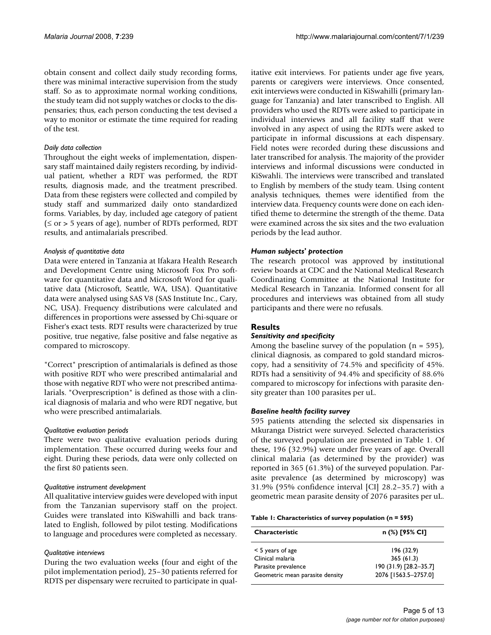obtain consent and collect daily study recording forms, there was minimal interactive supervision from the study staff. So as to approximate normal working conditions, the study team did not supply watches or clocks to the dispensaries; thus, each person conducting the test devised a way to monitor or estimate the time required for reading of the test.

#### *Daily data collection*

Throughout the eight weeks of implementation, dispensary staff maintained daily registers recording, by individual patient, whether a RDT was performed, the RDT results, diagnosis made, and the treatment prescribed. Data from these registers were collected and compiled by study staff and summarized daily onto standardized forms. Variables, by day, included age category of patient  $(\leq$  or > 5 years of age), number of RDTs performed, RDT results, and antimalarials prescribed.

#### *Analysis of quantitative data*

Data were entered in Tanzania at Ifakara Health Research and Development Centre using Microsoft Fox Pro software for quantitative data and Microsoft Word for qualitative data (Microsoft, Seattle, WA, USA). Quantitative data were analysed using SAS V8 (SAS Institute Inc., Cary, NC, USA). Frequency distributions were calculated and differences in proportions were assessed by Chi-square or Fisher's exact tests. RDT results were characterized by true positive, true negative, false positive and false negative as compared to microscopy.

"Correct" prescription of antimalarials is defined as those with positive RDT who were prescribed antimalarial and those with negative RDT who were not prescribed antimalarials. "Overprescription" is defined as those with a clinical diagnosis of malaria and who were RDT negative, but who were prescribed antimalarials.

#### *Qualitative evaluation periods*

There were two qualitative evaluation periods during implementation. These occurred during weeks four and eight. During these periods, data were only collected on the first 80 patients seen.

#### *Qualitative instrument development*

All qualitative interview guides were developed with input from the Tanzanian supervisory staff on the project. Guides were translated into KiSwahilli and back translated to English, followed by pilot testing. Modifications to language and procedures were completed as necessary.

#### *Qualitative interviews*

During the two evaluation weeks (four and eight of the pilot implementation period), 25–30 patients referred for RDTS per dispensary were recruited to participate in qualitative exit interviews. For patients under age five years, parents or caregivers were interviews. Once consented, exit interviews were conducted in KiSwahilli (primary language for Tanzania) and later transcribed to English. All providers who used the RDTs were asked to participate in individual interviews and all facility staff that were involved in any aspect of using the RDTs were asked to participate in informal discussions at each dispensary. Field notes were recorded during these discussions and later transcribed for analysis. The majority of the provider interviews and informal discussions were conducted in KiSwahli. The interviews were transcribed and translated to English by members of the study team. Using content analysis techniques, themes were identified from the interview data. Frequency counts were done on each identified theme to determine the strength of the theme. Data were examined across the six sites and the two evaluation periods by the lead author.

#### *Human subjects' protection*

The research protocol was approved by institutional review boards at CDC and the National Medical Research Coordinating Committee at the National Institute for Medical Research in Tanzania. Informed consent for all procedures and interviews was obtained from all study participants and there were no refusals.

#### **Results**

#### *Sensitivity and specificity*

Among the baseline survey of the population  $(n = 595)$ , clinical diagnosis, as compared to gold standard microscopy, had a sensitivity of 74.5% and specificity of 45%. RDTs had a sensitivity of 94.4% and specificity of 88.6% compared to microscopy for infections with parasite density greater than 100 parasites per uL.

#### *Baseline health facility survey*

595 patients attending the selected six dispensaries in Mkuranga District were surveyed. Selected characteristics of the surveyed population are presented in Table 1. Of these, 196 (32.9%) were under five years of age. Overall clinical malaria (as determined by the provider) was reported in 365 (61.3%) of the surveyed population. Parasite prevalence (as determined by microscopy) was 31.9% (95% confidence interval [CI] 28.2–35.7) with a geometric mean parasite density of 2076 parasites per uL.

#### **Table 1: Characteristics of survey population (n = 595)**

| <b>Characteristic</b>           | n (%) [95% CI]         |
|---------------------------------|------------------------|
| $<$ 5 years of age              | 196 (32.9)             |
| Clinical malaria                | 365(61.3)              |
| Parasite prevalence             | 190 (31.9) [28.2-35.7] |
| Geometric mean parasite density | 2076 [1563.5-2757.0]   |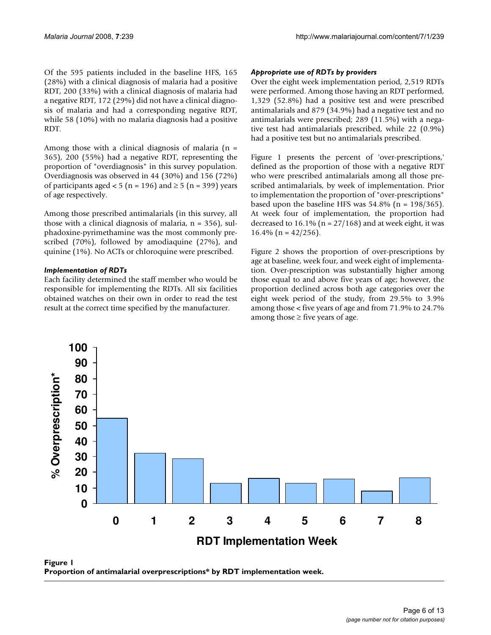Of the 595 patients included in the baseline HFS, 165 (28%) with a clinical diagnosis of malaria had a positive RDT, 200 (33%) with a clinical diagnosis of malaria had a negative RDT, 172 (29%) did not have a clinical diagnosis of malaria and had a corresponding negative RDT, while 58 (10%) with no malaria diagnosis had a positive RDT.

Among those with a clinical diagnosis of malaria  $(n =$ 365), 200 (55%) had a negative RDT, representing the proportion of "overdiagnosis" in this survey population. Overdiagnosis was observed in 44 (30%) and 156 (72%) of participants aged < 5 (n = 196) and  $\geq$  5 (n = 399) years of age respectively.

Among those prescribed antimalarials (in this survey, all those with a clinical diagnosis of malaria,  $n = 356$ , sulphadoxine-pyrimethamine was the most commonly prescribed (70%), followed by amodiaquine (27%), and quinine (1%). No ACTs or chloroquine were prescribed.

#### *Implementation of RDTs*

Each facility determined the staff member who would be responsible for implementing the RDTs. All six facilities obtained watches on their own in order to read the test result at the correct time specified by the manufacturer.

#### *Appropriate use of RDTs by providers*

Over the eight week implementation period, 2,519 RDTs were performed. Among those having an RDT performed, 1,329 (52.8%) had a positive test and were prescribed antimalarials and 879 (34.9%) had a negative test and no antimalarials were prescribed; 289 (11.5%) with a negative test had antimalarials prescribed, while 22 (0.9%) had a positive test but no antimalarials prescribed.

Figure 1 presents the percent of 'over-prescriptions,' defined as the proportion of those with a negative RDT who were prescribed antimalarials among all those prescribed antimalarials, by week of implementation. Prior to implementation the proportion of "over-prescriptions" based upon the baseline HFS was  $54.8\%$  (n = 198/365). At week four of implementation, the proportion had decreased to  $16.1\%$  (n =  $27/168$ ) and at week eight, it was  $16.4\%$  (n = 42/256).

Figure 2 shows the proportion of over-prescriptions by age at baseline, week four, and week eight of implementation. Over-prescription was substantially higher among those equal to and above five years of age; however, the proportion declined across both age categories over the eight week period of the study, from 29.5% to 3.9% among those < five years of age and from 71.9% to 24.7% among those  $\geq$  five years of age.



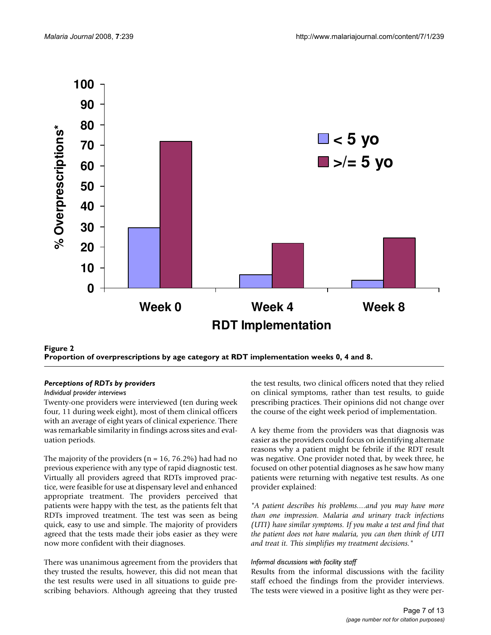



#### *Perceptions of RDTs by providers*

#### *Individual provider interviews*

Twenty-one providers were interviewed (ten during week four, 11 during week eight), most of them clinical officers with an average of eight years of clinical experience. There was remarkable similarity in findings across sites and evaluation periods.

The majority of the providers ( $n = 16$ , 76.2%) had had no previous experience with any type of rapid diagnostic test. Virtually all providers agreed that RDTs improved practice, were feasible for use at dispensary level and enhanced appropriate treatment. The providers perceived that patients were happy with the test, as the patients felt that RDTs improved treatment. The test was seen as being quick, easy to use and simple. The majority of providers agreed that the tests made their jobs easier as they were now more confident with their diagnoses.

There was unanimous agreement from the providers that they trusted the results, however, this did not mean that the test results were used in all situations to guide prescribing behaviors. Although agreeing that they trusted the test results, two clinical officers noted that they relied on clinical symptoms, rather than test results, to guide prescribing practices. Their opinions did not change over the course of the eight week period of implementation.

A key theme from the providers was that diagnosis was easier as the providers could focus on identifying alternate reasons why a patient might be febrile if the RDT result was negative. One provider noted that, by week three, he focused on other potential diagnoses as he saw how many patients were returning with negative test results. As one provider explained:

*"A patient describes his problems....and you may have more than one impression. Malaria and urinary track infections (UTI) have similar symptoms. If you make a test and find that the patient does not have malaria, you can then think of UTI and treat it. This simplifies my treatment decisions."*

#### *Informal discussions with facility staff*

Results from the informal discussions with the facility staff echoed the findings from the provider interviews. The tests were viewed in a positive light as they were per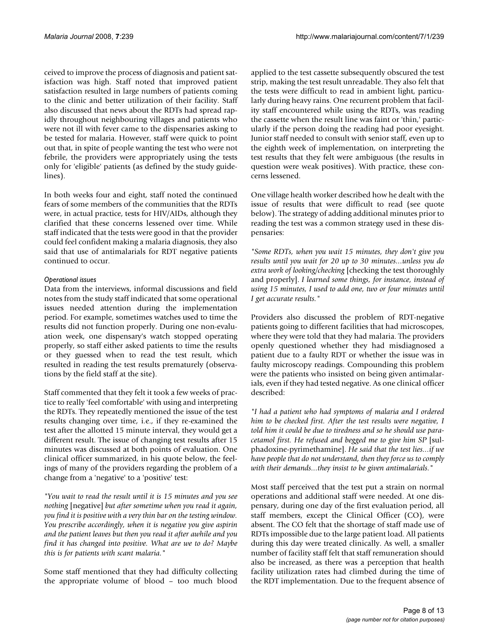ceived to improve the process of diagnosis and patient satisfaction was high. Staff noted that improved patient satisfaction resulted in large numbers of patients coming to the clinic and better utilization of their facility. Staff also discussed that news about the RDTs had spread rapidly throughout neighbouring villages and patients who were not ill with fever came to the dispensaries asking to be tested for malaria. However, staff were quick to point out that, in spite of people wanting the test who were not febrile, the providers were appropriately using the tests only for 'eligible' patients (as defined by the study guidelines).

In both weeks four and eight, staff noted the continued fears of some members of the communities that the RDTs were, in actual practice, tests for HIV/AIDs, although they clarified that these concerns lessened over time. While staff indicated that the tests were good in that the provider could feel confident making a malaria diagnosis, they also said that use of antimalarials for RDT negative patients continued to occur.

#### *Operational issues*

Data from the interviews, informal discussions and field notes from the study staff indicated that some operational issues needed attention during the implementation period. For example, sometimes watches used to time the results did not function properly. During one non-evaluation week, one dispensary's watch stopped operating properly, so staff either asked patients to time the results or they guessed when to read the test result, which resulted in reading the test results prematurely (observations by the field staff at the site).

Staff commented that they felt it took a few weeks of practice to really 'feel comfortable' with using and interpreting the RDTs. They repeatedly mentioned the issue of the test results changing over time, i.e., if they re-examined the test after the allotted 15 minute interval, they would get a different result. The issue of changing test results after 15 minutes was discussed at both points of evaluation. One clinical officer summarized, in his quote below, the feelings of many of the providers regarding the problem of a change from a 'negative' to a 'positive' test:

*"You wait to read the result until it is 15 minutes and you see nothing* [negative] *but after sometime when you read it again, you find it is positive with a very thin bar on the testing window. You prescribe accordingly, when it is negative you give aspirin and the patient leaves but then you read it after awhile and you find it has changed into positive. What are we to do? Maybe this is for patients with scant malaria."*

Some staff mentioned that they had difficulty collecting the appropriate volume of blood – too much blood applied to the test cassette subsequently obscured the test strip, making the test result unreadable. They also felt that the tests were difficult to read in ambient light, particularly during heavy rains. One recurrent problem that facility staff encountered while using the RDTs, was reading the cassette when the result line was faint or 'thin,' particularly if the person doing the reading had poor eyesight. Junior staff needed to consult with senior staff, even up to the eighth week of implementation, on interpreting the test results that they felt were ambiguous (the results in question were weak positives). With practice, these concerns lessened.

One village health worker described how he dealt with the issue of results that were difficult to read (see quote below). The strategy of adding additional minutes prior to reading the test was a common strategy used in these dispensaries:

*"Some RDTs, when you wait 15 minutes, they don't give you results until you wait for 20 up to 30 minutes...unless you do extra work of looking/checking* [checking the test thoroughly and properly]. *I learned some things, for instance, instead of using 15 minutes, I used to add one, two or four minutes until I get accurate results."*

Providers also discussed the problem of RDT-negative patients going to different facilities that had microscopes, where they were told that they had malaria. The providers openly questioned whether they had misdiagnosed a patient due to a faulty RDT or whether the issue was in faulty microscopy readings. Compounding this problem were the patients who insisted on being given antimalarials, even if they had tested negative. As one clinical officer described:

*"I had a patient who had symptoms of malaria and I ordered him to be checked first. After the test results were negative, I told him it could be due to tiredness and so he should use paracetamol first. He refused and begged me to give him SP* [sulphadoxine-pyrimethamine]. *He said that the test lies...if we have people that do not understand, then they force us to comply with their demands...they insist to be given antimalarials."*

Most staff perceived that the test put a strain on normal operations and additional staff were needed. At one dispensary, during one day of the first evaluation period, all staff members, except the Clinical Officer (CO), were absent. The CO felt that the shortage of staff made use of RDTs impossible due to the large patient load. All patients during this day were treated clinically. As well, a smaller number of facility staff felt that staff remuneration should also be increased, as there was a perception that health facility utilization rates had climbed during the time of the RDT implementation. Due to the frequent absence of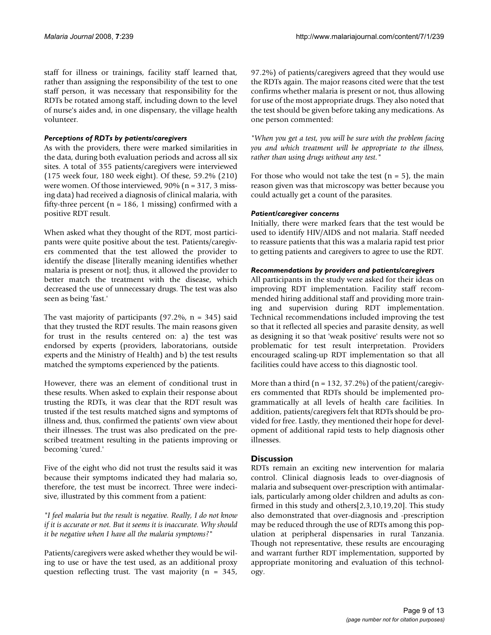staff for illness or trainings, facility staff learned that, rather than assigning the responsibility of the test to one staff person, it was necessary that responsibility for the RDTs be rotated among staff, including down to the level of nurse's aides and, in one dispensary, the village health volunteer.

#### *Perceptions of RDTs by patients/caregivers*

As with the providers, there were marked similarities in the data, during both evaluation periods and across all six sites. A total of 355 patients/caregivers were interviewed (175 week four, 180 week eight). Of these, 59.2% (210) were women. Of those interviewed, 90% (n = 317, 3 missing data) had received a diagnosis of clinical malaria, with fifty-three percent ( $n = 186$ , 1 missing) confirmed with a positive RDT result.

When asked what they thought of the RDT, most participants were quite positive about the test. Patients/caregivers commented that the test allowed the provider to identify the disease [literally meaning identifies whether malaria is present or not]; thus, it allowed the provider to better match the treatment with the disease, which decreased the use of unnecessary drugs. The test was also seen as being 'fast.'

The vast majority of participants (97.2%,  $n = 345$ ) said that they trusted the RDT results. The main reasons given for trust in the results centered on: a) the test was endorsed by experts (providers, laboratorians, outside experts and the Ministry of Health) and b) the test results matched the symptoms experienced by the patients.

However, there was an element of conditional trust in these results. When asked to explain their response about trusting the RDTs, it was clear that the RDT result was trusted if the test results matched signs and symptoms of illness and, thus, confirmed the patients' own view about their illnesses. The trust was also predicated on the prescribed treatment resulting in the patients improving or becoming 'cured.'

Five of the eight who did not trust the results said it was because their symptoms indicated they had malaria so, therefore, the test must be incorrect. Three were indecisive, illustrated by this comment from a patient:

*"I feel malaria but the result is negative. Really, I do not know if it is accurate or not. But it seems it is inaccurate. Why should it be negative when I have all the malaria symptoms?"*

Patients/caregivers were asked whether they would be wiling to use or have the test used, as an additional proxy question reflecting trust. The vast majority (n = 345,

97.2%) of patients/caregivers agreed that they would use the RDTs again. The major reasons cited were that the test confirms whether malaria is present or not, thus allowing for use of the most appropriate drugs. They also noted that the test should be given before taking any medications. As one person commented:

*"When you get a test, you will be sure with the problem facing you and which treatment will be appropriate to the illness, rather than using drugs without any test."*

For those who would not take the test  $(n = 5)$ , the main reason given was that microscopy was better because you could actually get a count of the parasites.

#### *Patient/caregiver concerns*

Initially, there were marked fears that the test would be used to identify HIV/AIDS and not malaria. Staff needed to reassure patients that this was a malaria rapid test prior to getting patients and caregivers to agree to use the RDT.

#### *Recommendations by providers and patients/caregivers*

All participants in the study were asked for their ideas on improving RDT implementation. Facility staff recommended hiring additional staff and providing more training and supervision during RDT implementation. Technical recommendations included improving the test so that it reflected all species and parasite density, as well as designing it so that 'weak positive' results were not so problematic for test result interpretation. Providers encouraged scaling-up RDT implementation so that all facilities could have access to this diagnostic tool.

More than a third ( $n = 132, 37.2%$ ) of the patient/caregivers commented that RDTs should be implemented programmatically at all levels of health care facilities. In addition, patients/caregivers felt that RDTs should be provided for free. Lastly, they mentioned their hope for development of additional rapid tests to help diagnosis other illnesses.

#### **Discussion**

RDTs remain an exciting new intervention for malaria control. Clinical diagnosis leads to over-diagnosis of malaria and subsequent over-prescription with antimalarials, particularly among older children and adults as confirmed in this study and others[2,3,10,19,20]. This study also demonstrated that over-diagnosis and -prescription may be reduced through the use of RDTs among this population at peripheral dispensaries in rural Tanzania. Though not representative, these results are encouraging and warrant further RDT implementation, supported by appropriate monitoring and evaluation of this technology.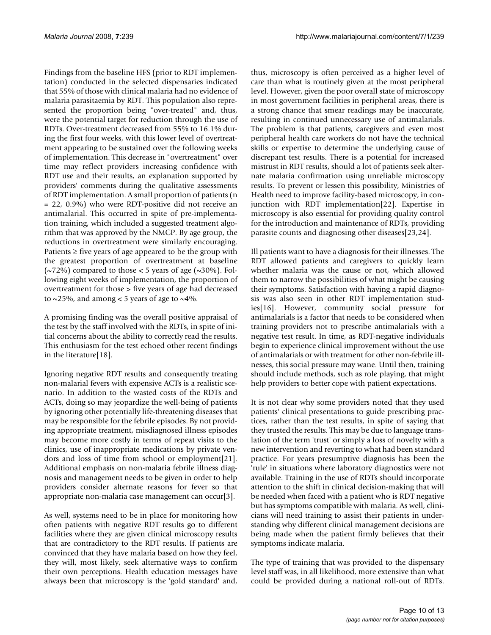Findings from the baseline HFS (prior to RDT implementation) conducted in the selected dispensaries indicated that 55% of those with clinical malaria had no evidence of malaria parasitaemia by RDT. This population also represented the proportion being "over-treated" and, thus, were the potential target for reduction through the use of RDTs. Over-treatment decreased from 55% to 16.1% during the first four weeks, with this lower level of overtreatment appearing to be sustained over the following weeks of implementation. This decrease in "overtreatment" over time may reflect providers increasing confidence with RDT use and their results, an explanation supported by providers' comments during the qualitative assessments of RDT implementation. A small proportion of patients (n = 22, 0.9%) who were RDT-positive did not receive an antimalarial. This occurred in spite of pre-implementation training, which included a suggested treatment algorithm that was approved by the NMCP. By age group, the reductions in overtreatment were similarly encouraging. Patients  $\geq$  five years of age appeared to be the group with the greatest proportion of overtreatment at baseline  $(\sim 72\%)$  compared to those < 5 years of age ( $\sim 30\%$ ). Following eight weeks of implementation, the proportion of overtreatment for those > five years of age had decreased to  $\sim$ 25%, and among < 5 years of age to  $\sim$ 4%.

A promising finding was the overall positive appraisal of the test by the staff involved with the RDTs, in spite of initial concerns about the ability to correctly read the results. This enthusiasm for the test echoed other recent findings in the literature[18].

Ignoring negative RDT results and consequently treating non-malarial fevers with expensive ACTs is a realistic scenario. In addition to the wasted costs of the RDTs and ACTs, doing so may jeopardize the well-being of patients by ignoring other potentially life-threatening diseases that may be responsible for the febrile episodes. By not providing appropriate treatment, misdiagnosed illness episodes may become more costly in terms of repeat visits to the clinics, use of inappropriate medications by private vendors and loss of time from school or employment[21]. Additional emphasis on non-malaria febrile illness diagnosis and management needs to be given in order to help providers consider alternate reasons for fever so that appropriate non-malaria case management can occur[3].

As well, systems need to be in place for monitoring how often patients with negative RDT results go to different facilities where they are given clinical microscopy results that are contradictory to the RDT results. If patients are convinced that they have malaria based on how they feel, they will, most likely, seek alternative ways to confirm their own perceptions. Health education messages have always been that microscopy is the 'gold standard' and,

thus, microscopy is often perceived as a higher level of care than what is routinely given at the most peripheral level. However, given the poor overall state of microscopy in most government facilities in peripheral areas, there is a strong chance that smear readings may be inaccurate, resulting in continued unnecessary use of antimalarials. The problem is that patients, caregivers and even most peripheral health care workers do not have the technical skills or expertise to determine the underlying cause of discrepant test results. There is a potential for increased mistrust in RDT results, should a lot of patients seek alternate malaria confirmation using unreliable microscopy results. To prevent or lessen this possibility, Ministries of Health need to improve facility-based microscopy, in conjunction with RDT implementation[22]. Expertise in microscopy is also essential for providing quality control for the introduction and maintenance of RDTs, providing parasite counts and diagnosing other diseases[23,24].

Ill patients want to have a diagnosis for their illnesses. The RDT allowed patients and caregivers to quickly learn whether malaria was the cause or not, which allowed them to narrow the possibilities of what might be causing their symptoms. Satisfaction with having a rapid diagnosis was also seen in other RDT implementation studies[16]. However, community social pressure for antimalarials is a factor that needs to be considered when training providers not to prescribe antimalarials with a negative test result. In time, as RDT-negative individuals begin to experience clinical improvement without the use of antimalarials or with treatment for other non-febrile illnesses, this social pressure may wane. Until then, training should include methods, such as role playing, that might help providers to better cope with patient expectations.

It is not clear why some providers noted that they used patients' clinical presentations to guide prescribing practices, rather than the test results, in spite of saying that they trusted the results. This may be due to language translation of the term 'trust' or simply a loss of novelty with a new intervention and reverting to what had been standard practice. For years presumptive diagnosis has been the 'rule' in situations where laboratory diagnostics were not available. Training in the use of RDTs should incorporate attention to the shift in clinical decision-making that will be needed when faced with a patient who is RDT negative but has symptoms compatible with malaria. As well, clinicians will need training to assist their patients in understanding why different clinical management decisions are being made when the patient firmly believes that their symptoms indicate malaria.

The type of training that was provided to the dispensary level staff was, in all likelihood, more extensive than what could be provided during a national roll-out of RDTs.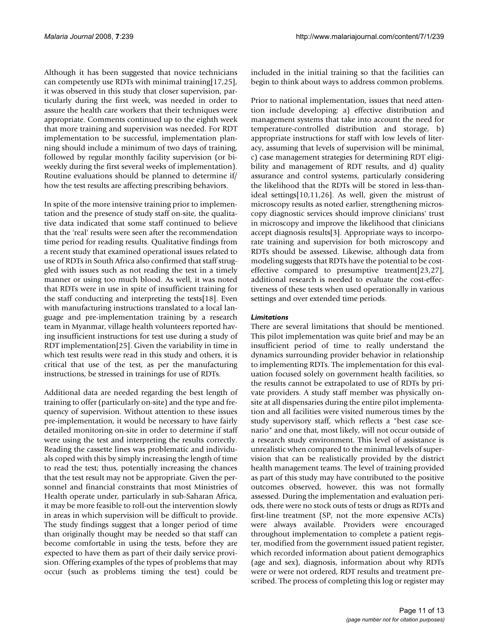Although it has been suggested that novice technicians can competently use RDTs with minimal training[17,25], it was observed in this study that closer supervision, particularly during the first week, was needed in order to assure the health care workers that their techniques were appropriate. Comments continued up to the eighth week that more training and supervision was needed. For RDT implementation to be successful, implementation planning should include a minimum of two days of training, followed by regular monthly facility supervision (or biweekly during the first several weeks of implementation). Routine evaluations should be planned to determine if/ how the test results are affecting prescribing behaviors.

In spite of the more intensive training prior to implementation and the presence of study staff on-site, the qualitative data indicated that some staff continued to believe that the 'real' results were seen after the recommendation time period for reading results. Qualitative findings from a recent study that examined operational issues related to use of RDTs in South Africa also confirmed that staff struggled with issues such as not reading the test in a timely manner or using too much blood. As well, it was noted that RDTs were in use in spite of insufficient training for the staff conducting and interpreting the tests[18]. Even with manufacturing instructions translated to a local language and pre-implementation training by a research team in Myanmar, village health volunteers reported having insufficient instructions for test use during a study of RDT implementation[25]. Given the variability in time in which test results were read in this study and others, it is critical that use of the test, as per the manufacturing instructions, be stressed in trainings for use of RDTs.

Additional data are needed regarding the best length of training to offer (particularly on-site) and the type and frequency of supervision. Without attention to these issues pre-implementation, it would be necessary to have fairly detailed monitoring on-site in order to determine if staff were using the test and interpreting the results correctly. Reading the cassette lines was problematic and individuals coped with this by simply increasing the length of time to read the test; thus, potentially increasing the chances that the test result may not be appropriate. Given the personnel and financial constraints that most Ministries of Health operate under, particularly in sub-Saharan Africa, it may be more feasible to roll-out the intervention slowly in areas in which supervision will be difficult to provide. The study findings suggest that a longer period of time than originally thought may be needed so that staff can become comfortable in using the tests, before they are expected to have them as part of their daily service provision. Offering examples of the types of problems that may occur (such as problems timing the test) could be included in the initial training so that the facilities can begin to think about ways to address common problems.

Prior to national implementation, issues that need attention include developing: a) effective distribution and management systems that take into account the need for temperature-controlled distribution and storage, b) appropriate instructions for staff with low levels of literacy, assuming that levels of supervision will be minimal, c) case management strategies for determining RDT eligibility and management of RDT results, and d) quality assurance and control systems, particularly considering the likelihood that the RDTs will be stored in less-thanideal settings[10,11,26]. As well, given the mistrust of microscopy results as noted earlier, strengthening microscopy diagnostic services should improve clinicians' trust in microscopy and improve the likelihood that clinicians accept diagnosis results[3]. Appropriate ways to incorporate training and supervision for both microscopy and RDTs should be assessed. Likewise, although data from modeling suggests that RDTs have the potential to be costeffective compared to presumptive treatment[23,27], additional research is needed to evaluate the cost-effectiveness of these tests when used operationally in various settings and over extended time periods.

#### *Limitations*

There are several limitations that should be mentioned. This pilot implementation was quite brief and may be an insufficient period of time to really understand the dynamics surrounding provider behavior in relationship to implementing RDTs. The implementation for this evaluation focused solely on government health facilities, so the results cannot be extrapolated to use of RDTs by private providers. A study staff member was physically onsite at all dispensaries during the entire pilot implementation and all facilities were visited numerous times by the study supervisory staff, which reflects a "best case scenario" and one that, most likely, will not occur outside of a research study environment. This level of assistance is unrealistic when compared to the minimal levels of supervision that can be realistically provided by the district health management teams. The level of training provided as part of this study may have contributed to the positive outcomes observed, however, this was not formally assessed. During the implementation and evaluation periods, there were no stock outs of tests or drugs as RDTs and first-line treatment (SP, not the more expensive ACTs) were always available. Providers were encouraged throughout implementation to complete a patient register, modified from the government issued patient register, which recorded information about patient demographics (age and sex), diagnosis, information about why RDTs were or were not ordered, RDT results and treatment prescribed. The process of completing this log or register may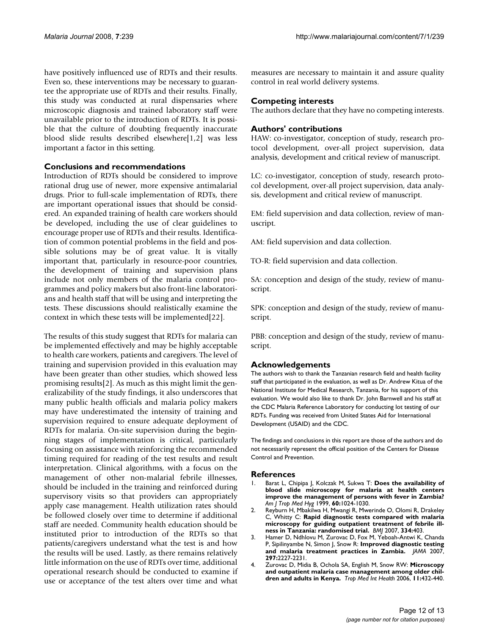have positively influenced use of RDTs and their results. Even so, these interventions may be necessary to guarantee the appropriate use of RDTs and their results. Finally, this study was conducted at rural dispensaries where microscopic diagnosis and trained laboratory staff were unavailable prior to the introduction of RDTs. It is possible that the culture of doubting frequently inaccurate blood slide results described elsewhere[1,2] was less important a factor in this setting.

#### **Conclusions and recommendations**

Introduction of RDTs should be considered to improve rational drug use of newer, more expensive antimalarial drugs. Prior to full-scale implementation of RDTs, there are important operational issues that should be considered. An expanded training of health care workers should be developed, including the use of clear guidelines to encourage proper use of RDTs and their results. Identification of common potential problems in the field and possible solutions may be of great value. It is vitally important that, particularly in resource-poor countries, the development of training and supervision plans include not only members of the malaria control programmes and policy makers but also front-line laboratorians and health staff that will be using and interpreting the tests. These discussions should realistically examine the context in which these tests will be implemented[22].

The results of this study suggest that RDTs for malaria can be implemented effectively and may be highly acceptable to health care workers, patients and caregivers. The level of training and supervision provided in this evaluation may have been greater than other studies, which showed less promising results[2]. As much as this might limit the generalizability of the study findings, it also underscores that many public health officials and malaria policy makers may have underestimated the intensity of training and supervision required to ensure adequate deployment of RDTs for malaria. On-site supervision during the beginning stages of implementation is critical, particularly focusing on assistance with reinforcing the recommended timing required for reading of the test results and result interpretation. Clinical algorithms, with a focus on the management of other non-malarial febrile illnesses, should be included in the training and reinforced during supervisory visits so that providers can appropriately apply case management. Health utilization rates should be followed closely over time to determine if additional staff are needed. Community health education should be instituted prior to introduction of the RDTs so that patients/caregivers understand what the test is and how the results will be used. Lastly, as there remains relatively little information on the use of RDTs over time, additional operational research should be conducted to examine if use or acceptance of the test alters over time and what measures are necessary to maintain it and assure quality control in real world delivery systems.

#### **Competing interests**

The authors declare that they have no competing interests.

#### **Authors' contributions**

HAW: co-investigator, conception of study, research protocol development, over-all project supervision, data analysis, development and critical review of manuscript.

LC: co-investigator, conception of study, research protocol development, over-all project supervision, data analysis, development and critical review of manuscript.

EM: field supervision and data collection, review of manuscript.

AM: field supervision and data collection.

TO-R: field supervision and data collection.

SA: conception and design of the study, review of manuscript.

SPK: conception and design of the study, review of manuscript.

PBB: conception and design of the study, review of manuscript.

#### **Acknowledgements**

The authors wish to thank the Tanzanian research field and health facility staff that participated in the evaluation, as well as Dr. Andrew Kitua of the National Institute for Medical Research, Tanzania, for his support of this evaluation. We would also like to thank Dr. John Barnwell and his staff at the CDC Malaria Reference Laboratory for conducting lot testing of our RDTs. Funding was received from United States Aid for International Development (USAID) and the CDC.

The findings and conclusions in this report are those of the authors and do not necessarily represent the official position of the Centers for Disease Control and Prevention.

#### **References**

- 1. Barat L, Chipipa J, Kolczak M, Sukwa T: **[Does the availability of](http://www.ncbi.nlm.nih.gov/entrez/query.fcgi?cmd=Retrieve&db=PubMed&dopt=Abstract&list_uids=10403337) [blood slide microscopy for malaria at health centers](http://www.ncbi.nlm.nih.gov/entrez/query.fcgi?cmd=Retrieve&db=PubMed&dopt=Abstract&list_uids=10403337) improve the management of persons with fever in Zambia?** *Am J Trop Med Hyg* 1999, **60:**1024-1030.
- 2. Reyburn H, Mbakilwa H, Mwangi R, Mwerinde O, Olomi R, Drakeley C, Whitty C: **[Rapid diagnostic tests compared with malaria](http://www.ncbi.nlm.nih.gov/entrez/query.fcgi?cmd=Retrieve&db=PubMed&dopt=Abstract&list_uids=17259188) [microscopy for guiding outpatient treatment of febrile ill](http://www.ncbi.nlm.nih.gov/entrez/query.fcgi?cmd=Retrieve&db=PubMed&dopt=Abstract&list_uids=17259188)[ness in Tanzania: randomised trial.](http://www.ncbi.nlm.nih.gov/entrez/query.fcgi?cmd=Retrieve&db=PubMed&dopt=Abstract&list_uids=17259188)** *BMJ* 2007, **334:**403.
- Hamer D, Ndhlovu M, Zurovac D, Fox M, Yeboah-Antwi K, Chanda P, Sipilinyambe N, Simon J, Snow R: **[Improved diagnostic testing](http://www.ncbi.nlm.nih.gov/entrez/query.fcgi?cmd=Retrieve&db=PubMed&dopt=Abstract&list_uids=17519412) [and malaria treatment practices in Zambia.](http://www.ncbi.nlm.nih.gov/entrez/query.fcgi?cmd=Retrieve&db=PubMed&dopt=Abstract&list_uids=17519412)** *JAMA* 2007, **297:**2227-2231.
- 4. Zurovac D, Midia B, Ochola SA, English M, Snow RW: **[Microscopy](http://www.ncbi.nlm.nih.gov/entrez/query.fcgi?cmd=Retrieve&db=PubMed&dopt=Abstract&list_uids=16553926) [and outpatient malaria case management among older chil](http://www.ncbi.nlm.nih.gov/entrez/query.fcgi?cmd=Retrieve&db=PubMed&dopt=Abstract&list_uids=16553926)[dren and adults in Kenya.](http://www.ncbi.nlm.nih.gov/entrez/query.fcgi?cmd=Retrieve&db=PubMed&dopt=Abstract&list_uids=16553926)** *Trop Med Int Health* 2006, **11:**432-440.